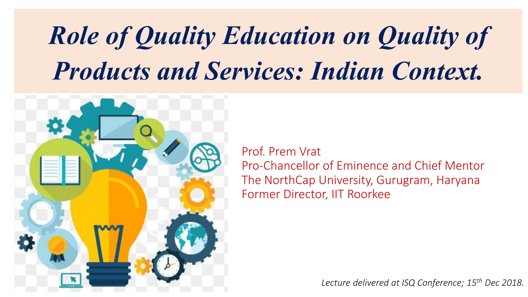# *Role of Quality Education on Quality of Products and Services: Indian Context.*



Prof. Prem Vrat Pro-Chancellor of Eminence and Chief Mentor The NorthCap University, Gurugram, Haryana Former Director, IIT Roorkee

*Lecture delivered at ISQ Conference; 15th Dec 2018.*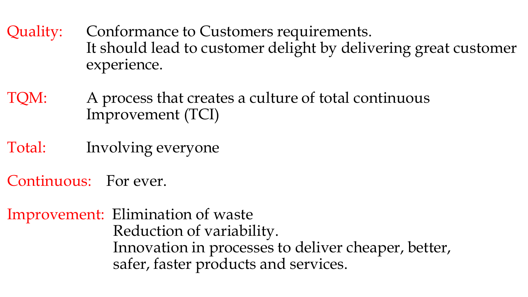Quality: Conformance to Customers requirements. It should lead to customer delight by delivering great customer experience.

TQM: A process that creates a culture of total continuous Improvement (TCI)

Total: Involving everyone

Continuous: For ever.

Improvement: Elimination of waste Reduction of variability. Innovation in processes to deliver cheaper, better, safer, faster products and services.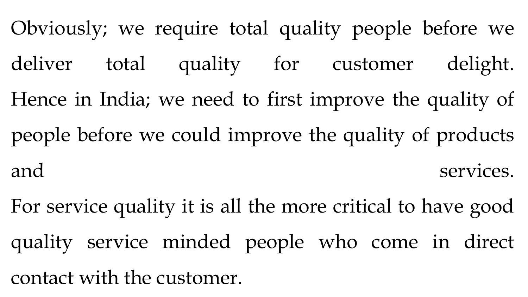Obviously; we require total quality people before we deliver total quality for customer delight. Hence in India; we need to first improve the quality of people before we could improve the quality of products and services.

For service quality it is all the more critical to have good quality service minded people who come in direct contact with the customer.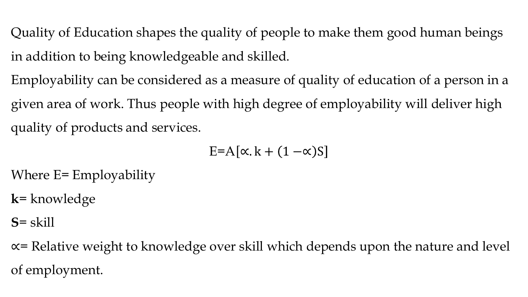Quality of Education shapes the quality of people to make them good human beings in addition to being knowledgeable and skilled.

Employability can be considered as a measure of quality of education of a person in a given area of work. Thus people with high degree of employability will deliver high quality of products and services.

E=A  $\alpha$ . k +  $(1 - \alpha)$ S

Where E= Employability

**k**= knowledge

**S**= skill

∝= Relative weight to knowledge over skill which depends upon the nature and level of employment.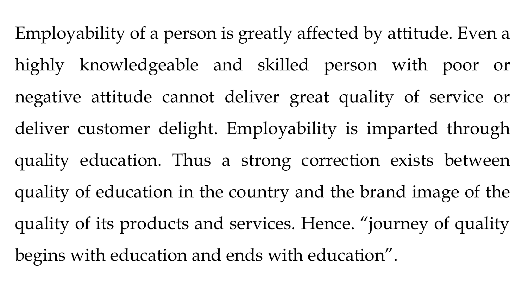Employability of a person is greatly affected by attitude. Even a highly knowledgeable and skilled person with poor or negative attitude cannot deliver great quality of service or deliver customer delight. Employability is imparted through quality education. Thus a strong correction exists between quality of education in the country and the brand image of the quality of its products and services. Hence. "journey of quality begins with education and ends with education".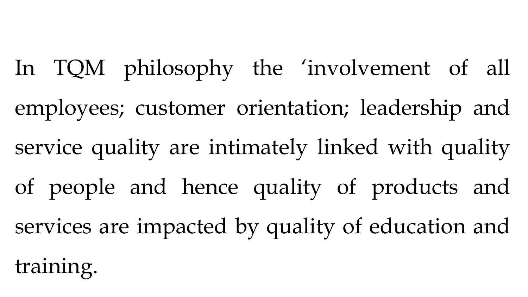In TQM philosophy the 'involvement of all employees; customer orientation; leadership and service quality are intimately linked with quality of people and hence quality of products and services are impacted by quality of education and training.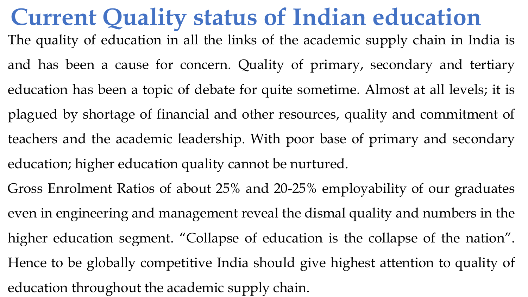## **Current Quality status of Indian education**

- The quality of education in all the links of the academic supply chain in India is and has been a cause for concern. Quality of primary, secondary and tertiary education has been a topic of debate for quite sometime. Almost at all levels; it is plagued by shortage of financial and other resources, quality and commitment of teachers and the academic leadership. With poor base of primary and secondary education; higher education quality cannot be nurtured.
- Gross Enrolment Ratios of about 25% and 20-25% employability of our graduates even in engineering and management reveal the dismal quality and numbers in the higher education segment. "Collapse of education is the collapse of the nation". Hence to be globally competitive India should give highest attention to quality of education throughout the academic supply chain.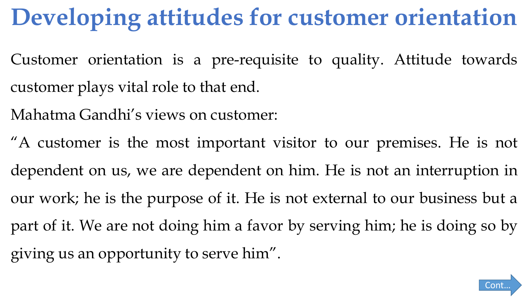# **Developing attitudes for customer orientation**

- Customer orientation is a pre-requisite to quality. Attitude towards customer plays vital role to that end.
- Mahatma Gandhi's views on customer:
- "A customer is the most important visitor to our premises. He is not dependent on us, we are dependent on him. He is not an interruption in our work; he is the purpose of it. He is not external to our business but a part of it. We are not doing him a favor by serving him; he is doing so by giving us an opportunity to serve him".

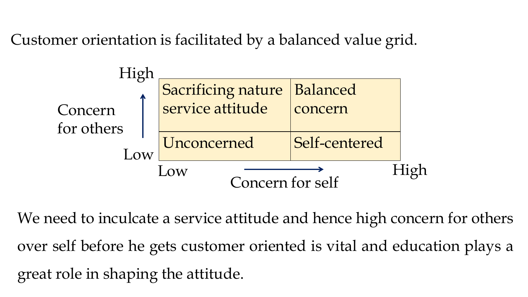Customer orientation is facilitated by a balanced value grid.



We need to inculcate a service attitude and hence high concern for others over self before he gets customer oriented is vital and education plays a great role in shaping the attitude.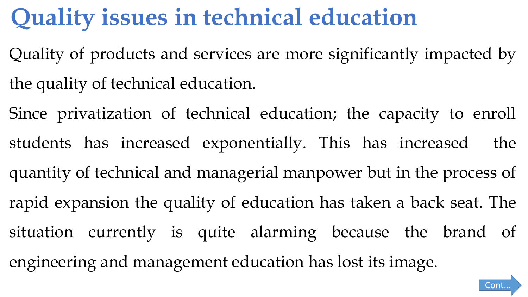## **Quality issues in technical education**

- Quality of products and services are more significantly impacted by the quality of technical education.
- Since privatization of technical education; the capacity to enroll students has increased exponentially. This has increased the quantity of technical and managerial manpower but in the process of rapid expansion the quality of education has taken a back seat. The situation currently is quite alarming because the brand of engineering and management education has lost its image.

Cont…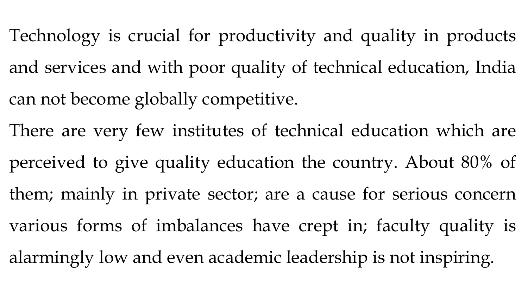- Technology is crucial for productivity and quality in products and services and with poor quality of technical education, India can not become globally competitive.
- There are very few institutes of technical education which are
- perceived to give quality education the country. About 80% of
- them; mainly in private sector; are a cause for serious concern
- various forms of imbalances have crept in; faculty quality is
- alarmingly low and even academic leadership is not inspiring.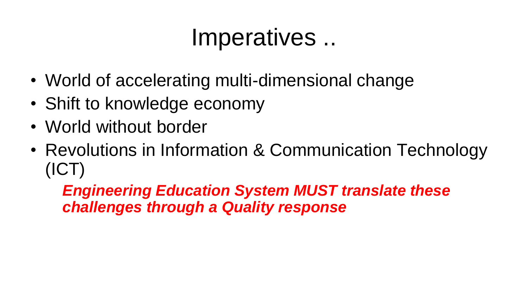## Imperatives ..

- World of accelerating multi-dimensional change
- Shift to knowledge economy
- World without border
- Revolutions in Information & Communication Technology (ICT)

*Engineering Education System MUST translate these challenges through a Quality response*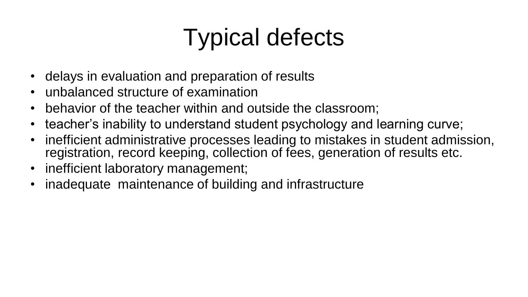# Typical defects

- delays in evaluation and preparation of results
- unbalanced structure of examination
- behavior of the teacher within and outside the classroom;
- teacher's inability to understand student psychology and learning curve;
- inefficient administrative processes leading to mistakes in student admission, registration, record keeping, collection of fees, generation of results etc.
- inefficient laboratory management;
- inadequate maintenance of building and infrastructure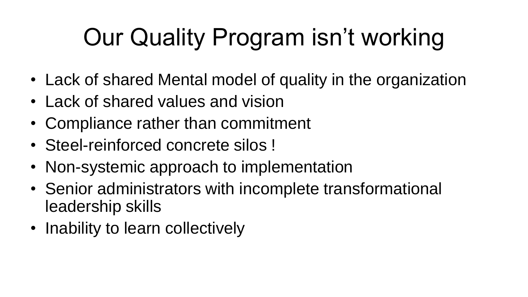# Our Quality Program isn't working

- Lack of shared Mental model of quality in the organization
- Lack of shared values and vision
- Compliance rather than commitment
- Steel-reinforced concrete silos !
- Non-systemic approach to implementation
- Senior administrators with incomplete transformational leadership skills
- Inability to learn collectively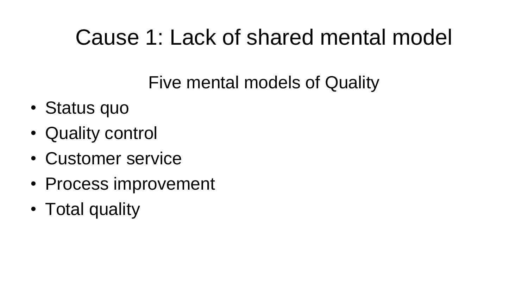### Cause 1: Lack of shared mental model

Five mental models of Quality

- Status quo
- Quality control
- Customer service
- Process improvement
- Total quality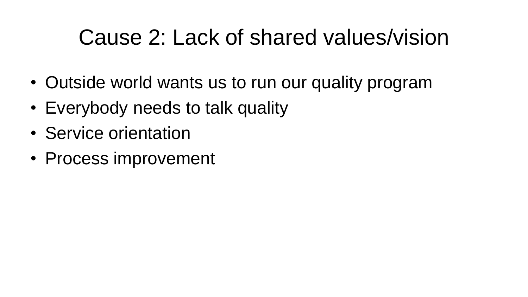### Cause 2: Lack of shared values/vision

- Outside world wants us to run our quality program
- Everybody needs to talk quality
- Service orientation
- Process improvement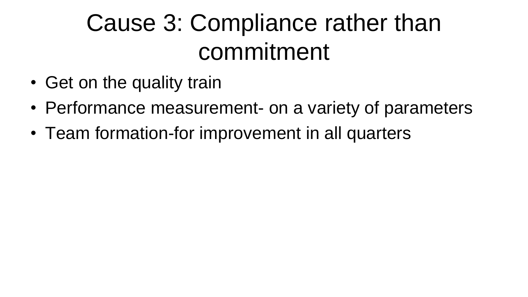# Cause 3: Compliance rather than commitment

- Get on the quality train
- Performance measurement- on a variety of parameters
- Team formation-for improvement in all quarters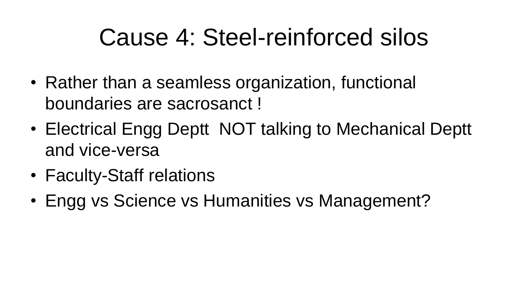## Cause 4: Steel-reinforced silos

- Rather than a seamless organization, functional boundaries are sacrosanct !
- Electrical Engg Deptt NOT talking to Mechanical Deptt and vice-versa
- Faculty-Staff relations
- Engg vs Science vs Humanities vs Management?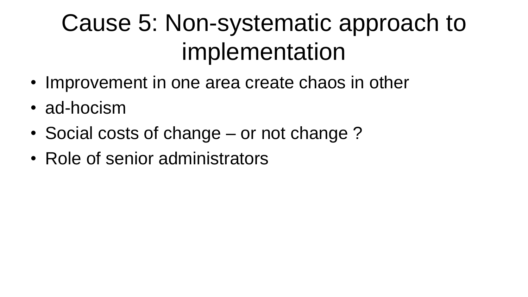# Cause 5: Non-systematic approach to implementation

- Improvement in one area create chaos in other
- ad-hocism
- Social costs of change or not change ?
- Role of senior administrators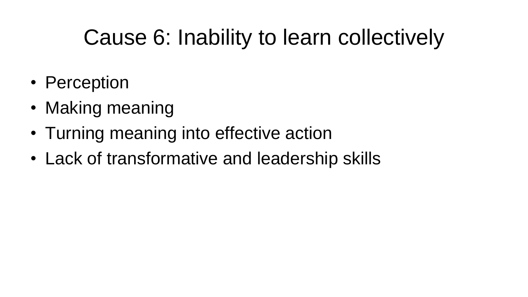## Cause 6: Inability to learn collectively

- Perception
- Making meaning
- Turning meaning into effective action
- Lack of transformative and leadership skills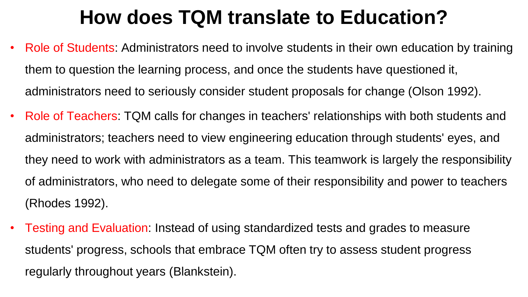### **How does TQM translate to Education?**

- Role of Students: Administrators need to involve students in their own education by training them to question the learning process, and once the students have questioned it, administrators need to seriously consider student proposals for change (Olson 1992).
- Role of Teachers: TQM calls for changes in teachers' relationships with both students and administrators; teachers need to view engineering education through students' eyes, and they need to work with administrators as a team. This teamwork is largely the responsibility of administrators, who need to delegate some of their responsibility and power to teachers (Rhodes 1992).
- Testing and Evaluation: Instead of using standardized tests and grades to measure students' progress, schools that embrace TQM often try to assess student progress regularly throughout years (Blankstein).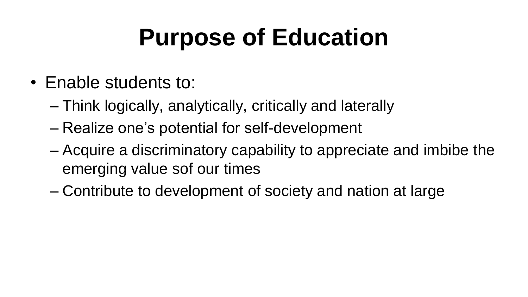# **Purpose of Education**

- Enable students to:
	- Think logically, analytically, critically and laterally
	- Realize one's potential for self-development
	- Acquire a discriminatory capability to appreciate and imbibe the emerging value sof our times
	- Contribute to development of society and nation at large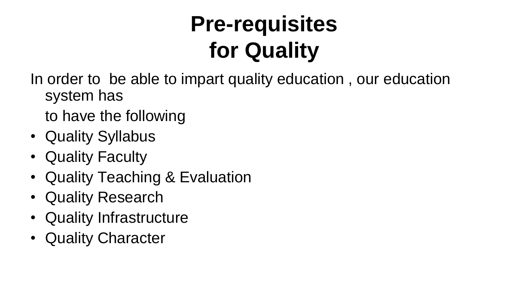## **Pre-requisites for Quality**

In order to be able to impart quality education , our education system has

to have the following

- Quality Syllabus
- Quality Faculty
- Quality Teaching & Evaluation
- Quality Research
- Quality Infrastructure
- Quality Character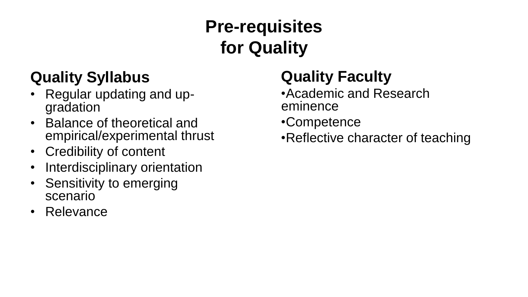#### **Quality Syllabus**

- Regular updating and upgradation
- Balance of theoretical and empirical/experimental thrust
- Credibility of content
- Interdisciplinary orientation
- Sensitivity to emerging scenario
- Relevance

### **Pre-requisites for Quality**

#### **Quality Faculty**

- •Academic and Research eminence
- •Competence
- •Reflective character of teaching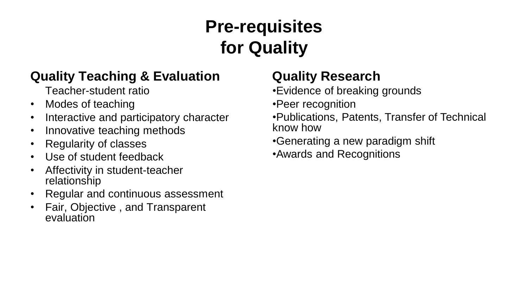### **Pre-requisites for Quality**

#### **Quality Teaching & Evaluation**

Teacher-student ratio

- Modes of teaching
- Interactive and participatory character
- Innovative teaching methods
- Regularity of classes
- Use of student feedback
- Affectivity in student-teacher relationship
- Regular and continuous assessment
- Fair, Objective , and Transparent evaluation

#### **Quality Research**

•Evidence of breaking grounds

•Peer recognition

•Publications, Patents, Transfer of Technical know how

•Generating a new paradigm shift

•Awards and Recognitions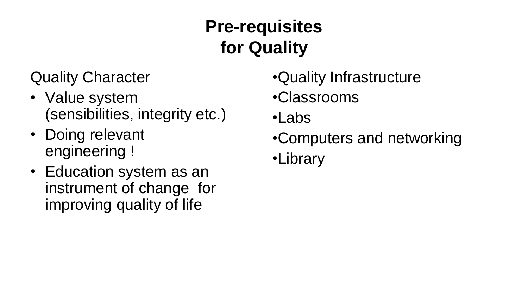### **Pre-requisites for Quality**

Quality Character

- Value system (sensibilities, integrity etc.)
- Doing relevant engineering !
- Education system as an instrument of change for improving quality of life

•Quality Infrastructure •Classrooms •Labs •Computers and networking •Library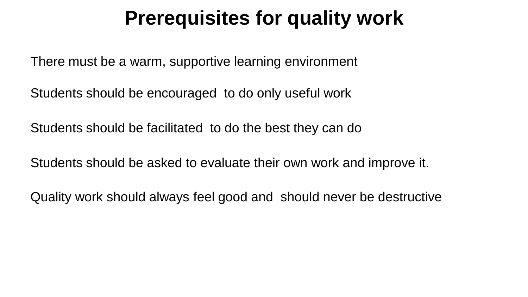### **Prerequisites for quality work**

There must be a warm, supportive learning environment

Students should be encouraged to do only useful work

Students should be facilitated to do the best they can do

Students should be asked to evaluate their own work and improve it.

Quality work should always feel good and should never be destructive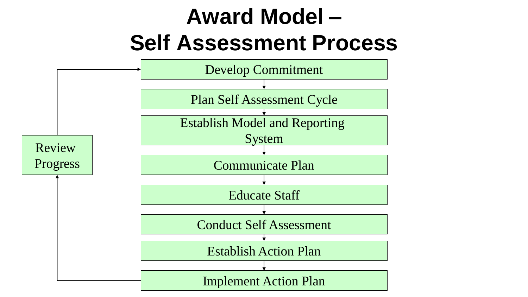### **Award Model – Self Assessment Process**

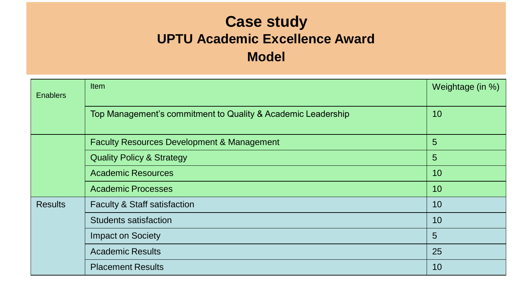#### **Case study UPTU Academic Excellence Award Model**

| <b>Enablers</b> | <b>Item</b>                                                  | Weightage (in %) |
|-----------------|--------------------------------------------------------------|------------------|
|                 | Top Management's commitment to Quality & Academic Leadership | 10               |
|                 | <b>Faculty Resources Development &amp; Management</b>        | 5                |
|                 | <b>Quality Policy &amp; Strategy</b>                         | $5\overline{)}$  |
|                 | <b>Academic Resources</b>                                    | 10               |
|                 | <b>Academic Processes</b>                                    | 10               |
| <b>Results</b>  | <b>Faculty &amp; Staff satisfaction</b>                      | 10               |
|                 | <b>Students satisfaction</b>                                 | 10               |
|                 | <b>Impact on Society</b>                                     | 5                |
|                 | <b>Academic Results</b>                                      | 25               |
|                 | <b>Placement Results</b>                                     | 10               |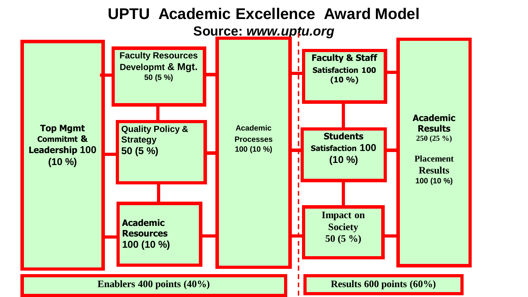#### **UPTU Academic Excellence Award Model**

**Source:** *www.uptu.org*

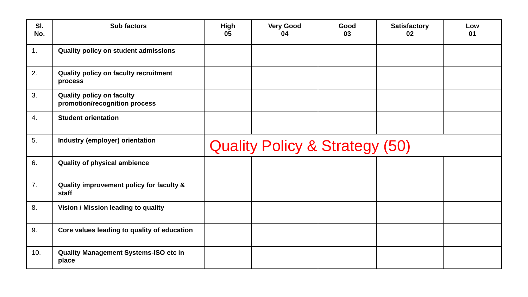| SI.<br>No. | <b>Sub factors</b>                                                | <b>High</b><br>05                         | <b>Very Good</b><br>04 | Good<br>03 | <b>Satisfactory</b><br>02 | Low<br>01 |
|------------|-------------------------------------------------------------------|-------------------------------------------|------------------------|------------|---------------------------|-----------|
| 1.         | Quality policy on student admissions                              |                                           |                        |            |                           |           |
| 2.         | <b>Quality policy on faculty recruitment</b><br>process           |                                           |                        |            |                           |           |
| 3.         | <b>Quality policy on faculty</b><br>promotion/recognition process |                                           |                        |            |                           |           |
| 4.         | <b>Student orientation</b>                                        |                                           |                        |            |                           |           |
| 5.         | Industry (employer) orientation                                   | <b>Quality Policy &amp; Strategy (50)</b> |                        |            |                           |           |
| 6.         | <b>Quality of physical ambience</b>                               |                                           |                        |            |                           |           |
| 7.         | Quality improvement policy for faculty &<br>staff                 |                                           |                        |            |                           |           |
| 8.         | Vision / Mission leading to quality                               |                                           |                        |            |                           |           |
| 9.         | Core values leading to quality of education                       |                                           |                        |            |                           |           |
| 10.        | <b>Quality Management Systems-ISO etc in</b><br>place             |                                           |                        |            |                           |           |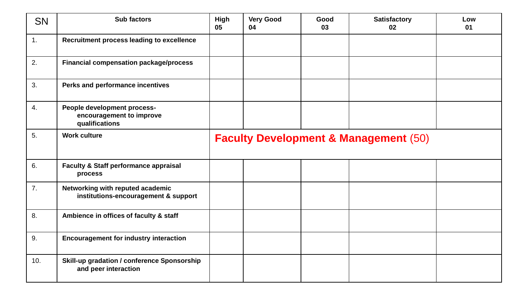| <b>SN</b> | <b>Sub factors</b>                                                         | <b>High</b><br>05                                | <b>Very Good</b><br>04 | Good<br>03 | <b>Satisfactory</b><br>02 | Low<br>01 |
|-----------|----------------------------------------------------------------------------|--------------------------------------------------|------------------------|------------|---------------------------|-----------|
| 1.        | Recruitment process leading to excellence                                  |                                                  |                        |            |                           |           |
| 2.        | <b>Financial compensation package/process</b>                              |                                                  |                        |            |                           |           |
| 3.        | Perks and performance incentives                                           |                                                  |                        |            |                           |           |
| 4.        | People development process-<br>encouragement to improve<br>qualifications  |                                                  |                        |            |                           |           |
| 5.        | <b>Work culture</b>                                                        | <b>Faculty Development &amp; Management (50)</b> |                        |            |                           |           |
| 6.        | <b>Faculty &amp; Staff performance appraisal</b><br>process                |                                                  |                        |            |                           |           |
| 7.        | Networking with reputed academic<br>institutions-encouragement & support   |                                                  |                        |            |                           |           |
| 8.        | Ambience in offices of faculty & staff                                     |                                                  |                        |            |                           |           |
| 9.        | <b>Encouragement for industry interaction</b>                              |                                                  |                        |            |                           |           |
| 10.       | <b>Skill-up gradation / conference Sponsorship</b><br>and peer interaction |                                                  |                        |            |                           |           |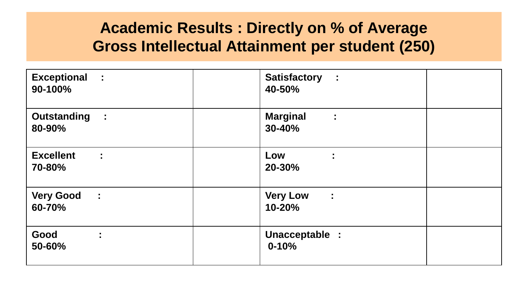#### **Academic Results : Directly on % of Average Gross Intellectual Attainment per student (250)**

| <b>Exceptional :</b>    | <b>Satisfactory :</b>                      |
|-------------------------|--------------------------------------------|
| 90-100%                 | 40-50%                                     |
| Outstanding :<br>80-90% | <b>Marginal</b><br>$\mathcal{I}$<br>30-40% |
| <b>Excellent</b>        | Low                                        |
| $\sim 10$               | ÷                                          |
| 70-80%                  | 20-30%                                     |
| <b>Very Good</b>        | <b>Very Low</b>                            |
| $\sim$ 1                | $\ddot{\phantom{a}}$                       |
| 60-70%                  | $10 - 20%$                                 |
| Good<br>÷<br>50-60%     | Unacceptable :<br>$0 - 10%$                |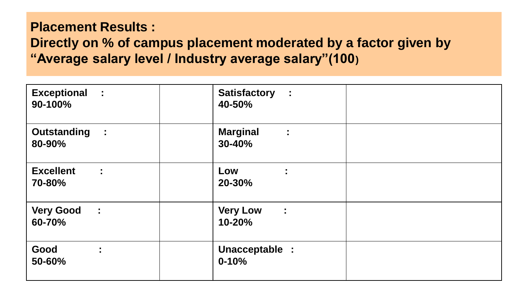#### **Placement Results : Directly on % of campus placement moderated by a factor given by "Average salary level / Industry average salary"(100)**

| <b>Exceptional :</b><br>90-100%         |           | Satisfactory :<br>40-50%                          |  |
|-----------------------------------------|-----------|---------------------------------------------------|--|
| <b>Outstanding</b><br>80-90%            | $\sim 10$ | <b>Marginal</b><br>$\ddot{\phantom{a}}$<br>30-40% |  |
| <b>Excellent</b><br>70-80%              | ÷         | Low<br>÷.<br>20-30%                               |  |
| <b>Very Good</b><br>$\sim 10$<br>60-70% |           | <b>Very Low</b><br>$\sim 10$<br>10-20%            |  |
| Good<br>50-60%                          | ÷.        | Unacceptable :<br>$0 - 10%$                       |  |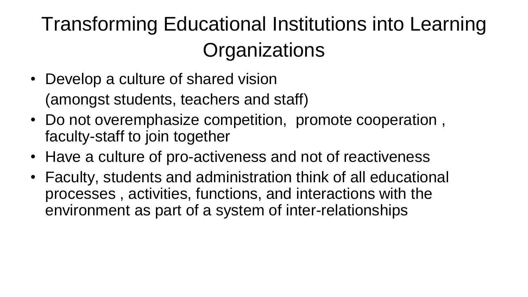### Transforming Educational Institutions into Learning **Organizations**

- Develop a culture of shared vision (amongst students, teachers and staff)
- Do not overemphasize competition, promote cooperation , faculty-staff to join together
- Have a culture of pro-activeness and not of reactiveness
- Faculty, students and administration think of all educational processes , activities, functions, and interactions with the environment as part of a system of inter-relationships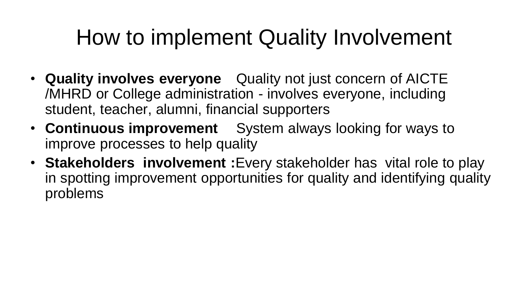### How to implement Quality Involvement

- **Quality involves everyone** Quality not just concern of AICTE /MHRD or College administration - involves everyone, including student, teacher, alumni, financial supporters
- **Continuous improvement** System always looking for ways to improve processes to help quality
- **Stakeholders involvement :**Every stakeholder has vital role to play in spotting improvement opportunities for quality and identifying quality problems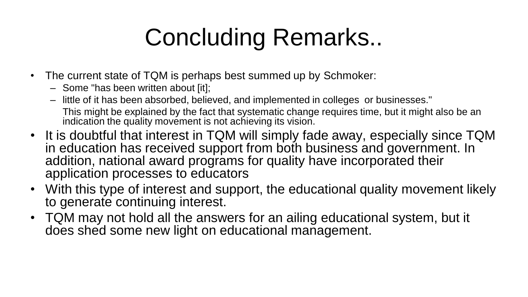# Concluding Remarks..

- The current state of TQM is perhaps best summed up by Schmoker:
	- Some "has been written about [it];
	- little of it has been absorbed, believed, and implemented in colleges or businesses." This might be explained by the fact that systematic change requires time, but it might also be an indication the quality movement is not achieving its vision.
- It is doubtful that interest in TQM will simply fade away, especially since TQM in education has received support from both business and government. In addition, national award programs for quality have incorporated their application processes to educators
- With this type of interest and support, the educational quality movement likely to generate continuing interest.
- TQM may not hold all the answers for an ailing educational system, but it does shed some new light on educational management.